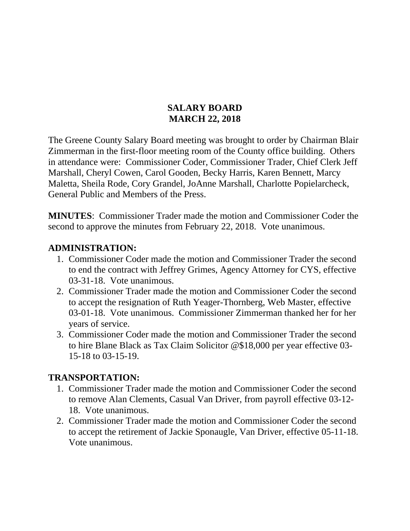#### **SALARY BOARD MARCH 22, 2018**

The Greene County Salary Board meeting was brought to order by Chairman Blair Zimmerman in the first-floor meeting room of the County office building. Others in attendance were: Commissioner Coder, Commissioner Trader, Chief Clerk Jeff Marshall, Cheryl Cowen, Carol Gooden, Becky Harris, Karen Bennett, Marcy Maletta, Sheila Rode, Cory Grandel, JoAnne Marshall, Charlotte Popielarcheck, General Public and Members of the Press.

**MINUTES**: Commissioner Trader made the motion and Commissioner Coder the second to approve the minutes from February 22, 2018. Vote unanimous.

#### **ADMINISTRATION:**

- 1. Commissioner Coder made the motion and Commissioner Trader the second to end the contract with Jeffrey Grimes, Agency Attorney for CYS, effective 03-31-18. Vote unanimous.
- 2. Commissioner Trader made the motion and Commissioner Coder the second to accept the resignation of Ruth Yeager-Thornberg, Web Master, effective 03-01-18. Vote unanimous. Commissioner Zimmerman thanked her for her years of service.
- 3. Commissioner Coder made the motion and Commissioner Trader the second to hire Blane Black as Tax Claim Solicitor @\$18,000 per year effective 03- 15-18 to 03-15-19.

### **TRANSPORTATION:**

- 1. Commissioner Trader made the motion and Commissioner Coder the second to remove Alan Clements, Casual Van Driver, from payroll effective 03-12- 18. Vote unanimous.
- 2. Commissioner Trader made the motion and Commissioner Coder the second to accept the retirement of Jackie Sponaugle, Van Driver, effective 05-11-18. Vote unanimous.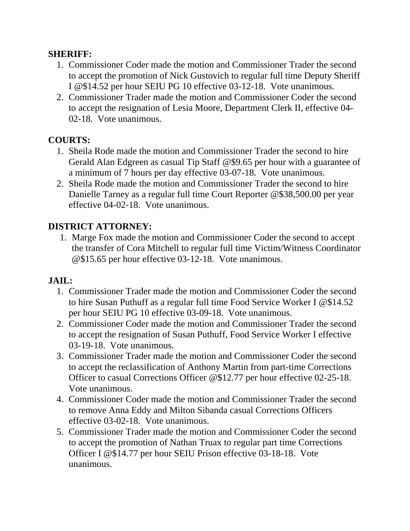### **SHERIFF:**

- 1. Commissioner Coder made the motion and Commissioner Trader the second to accept the promotion of Nick Gustovich to regular full time Deputy Sheriff I @\$14.52 per hour SEIU PG 10 effective 03-12-18. Vote unanimous.
- 2. Commissioner Trader made the motion and Commissioner Coder the second to accept the resignation of Lesia Moore, Department Clerk II, effective 04- 02-18. Vote unanimous.

# **COURTS:**

- 1. Sheila Rode made the motion and Commissioner Trader the second to hire Gerald Alan Edgreen as casual Tip Staff @\$9.65 per hour with a guarantee of a minimum of 7 hours per day effective 03-07-18. Vote unanimous.
- 2. Sheila Rode made the motion and Commissioner Trader the second to hire Danielle Tarney as a regular full time Court Reporter @\$38,500.00 per year effective 04-02-18. Vote unanimous.

# **DISTRICT ATTORNEY:**

1. Marge Fox made the motion and Commissioner Coder the second to accept the transfer of Cora Mitchell to regular full time Victim/Witness Coordinator @\$15.65 per hour effective 03-12-18. Vote unanimous.

### **JAIL:**

- 1. Commissioner Trader made the motion and Commissioner Coder the second to hire Susan Puthuff as a regular full time Food Service Worker I @\$14.52 per hour SEIU PG 10 effective 03-09-18. Vote unanimous.
- 2. Commissioner Coder made the motion and Commissioner Trader the second to accept the resignation of Susan Puthuff, Food Service Worker I effective 03-19-18. Vote unanimous.
- 3. Commissioner Trader made the motion and Commissioner Coder the second to accept the reclassification of Anthony Martin from part-time Corrections Officer to casual Corrections Officer @\$12.77 per hour effective 02-25-18. Vote unanimous.
- 4. Commissioner Coder made the motion and Commissioner Trader the second to remove Anna Eddy and Milton Sibanda casual Corrections Officers effective 03-02-18. Vote unanimous.
- 5. Commissioner Trader made the motion and Commissioner Coder the second to accept the promotion of Nathan Truax to regular part time Corrections Officer I @\$14.77 per hour SEIU Prison effective 03-18-18. Vote unanimous.